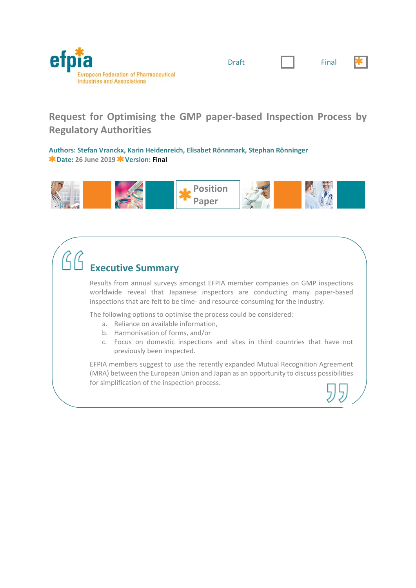

| v<br>ı<br>× |  |
|-------------|--|
| $\sim$      |  |



## **Request for Optimising the GMP paper‐based Inspection Process by Regulatory Authorities**

**Authors: Stefan Vranckx, Karin Heidenreich, Elisabet Rönnmark, Stephan Rönninger Date: 26 June 2019 Version: Final**



# **Executive Summary**

Results from annual surveys amongst EFPIA member companies on GMP inspections worldwide reveal that Japanese inspectors are conducting many paper‐based inspections that are felt to be time‐ and resource‐consuming for the industry.

The following options to optimise the process could be considered:

- a. Reliance on available information,
- b. Harmonisation of forms, and/or
- c. Focus on domestic inspections and sites in third countries that have not previously been inspected.

EFPIA members suggest to use the recently expanded Mutual Recognition Agreement (MRA) between the European Union and Japan as an opportunity to discuss possibilities for simplification of the inspection process.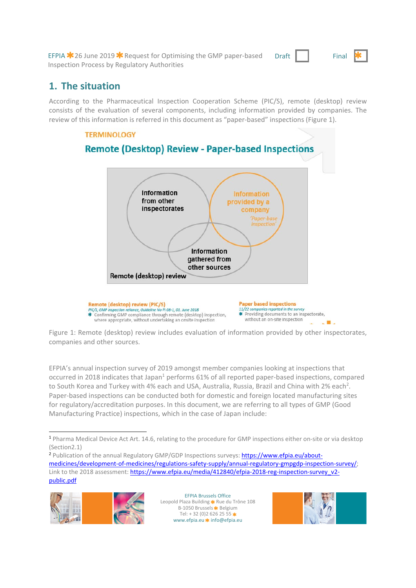EFPIA  $*$  26 June 2019  $*$  Request for Optimising the GMP paper-based Inspection Process by Regulatory Authorities

Draft Final



## **1. The situation**

According to the Pharmaceutical Inspection Cooperation Scheme (PIC/S), remote (desktop) review consists of the evaluation of several components, including information provided by companies. The review of this information is referred in this document as "paper‐based" inspections (Figure 1).



Figure 1: Remote (desktop) review includes evaluation of information provided by other inspectorates, companies and other sources.

EFPIA's annual inspection survey of 2019 amongst member companies looking at inspections that occurred in 2018 indicates that Japan<sup>1</sup> performs 61% of all reported paper-based inspections, compared to South Korea and Turkey with 4% each and USA, Australia, Russia, Brazil and China with 2% each<sup>2</sup>. Paper‐based inspections can be conducted both for domestic and foreign located manufacturing sites for regulatory/accreditation purposes. In this document, we are referring to all types of GMP (Good Manufacturing Practice) inspections, which in the case of Japan include:

<sup>2</sup> Publication of the annual Regulatory GMP/GDP Inspections surveys: https://www.efpia.eu/aboutmedicines/development‐of‐medicines/regulations‐safety‐supply/annual‐regulatory‐gmpgdp‐inspection‐survey/; Link to the 2018 assessment: https://www.efpia.eu/media/412840/efpia-2018-reg-inspection-survey\_v2public.pdf



EFPIA Brussels Office Leopold Plaza Building \* Rue du Trône 108 B-1050 Brussels **\*** Belgium Tel:  $+32(0)26262555$ www.efpia.eu  $*$  info@efpia.eu



 $\overline{a}$ <sup>1</sup> Pharma Medical Device Act Art. 14.6, relating to the procedure for GMP inspections either on‐site or via desktop (Section2.1)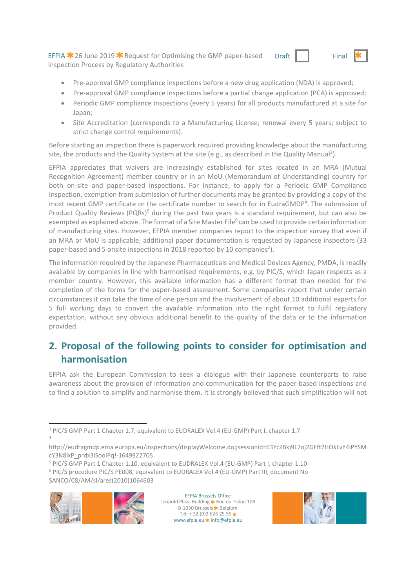EFPIA  $\ast$  26 June 2019  $\ast$  Request for Optimising the GMP paper-based Inspection Process by Regulatory Authorities



- Pre-approval GMP compliance inspections before a new drug application (NDA) is approved;
- Pre-approval GMP compliance inspections before a partial change application (PCA) is approved;
- Periodic GMP compliance inspections (every 5 years) for all products manufactured at a site for Japan;
- Site Accreditation (corresponds to a Manufacturing License; renewal every 5 years; subject to strict change control requirements).

Before starting an inspection there is paperwork required providing knowledge about the manufacturing site, the products and the Quality System at the site (e.g., as described in the Quality Manual<sup>3</sup>).

EFPIA appreciates that waivers are increasingly established for sites located in an MRA (Mutual Recognition Agreement) member country or in an MoU (Memorandum of Understanding) country for both on-site and paper-based inspections. For instance, to apply for a Periodic GMP Compliance Inspection, exemption from submission of further documents may be granted by providing a copy of the most recent GMP certificate or the certificate number to search for in EudraGMDP<sup>4</sup>. The submission of Product Quality Reviews (PQRs)<sup>5</sup> during the past two years is a standard requirement, but can also be exempted as explained above. The format of a Site Master File<sup>6</sup> can be used to provide certain information of manufacturing sites. However, EFPIA member companies report to the inspection survey that even if an MRA or MoU is applicable, additional paper documentation is requested by Japanese inspectors (33 paper-based and 5 onsite inspections in 2018 reported by 10 companies<sup>2</sup>).

The information required by the Japanese Pharmaceuticals and Medical Devices Agency, PMDA, is readily available by companies in line with harmonised requirements, e.g. by PIC/S, which Japan respects as a member country. However, this available information has a different format than needed for the completion of the forms for the paper‐based assessment. Some companies report that under certain circumstances it can take the time of one person and the involvement of about 10 additional experts for 5 full working days to convert the available information into the right format to fulfil regulatory expectation, without any obvious additional benefit to the quality of the data or to the information provided.

## **2. Proposal of the following points to consider for optimisation and harmonisation**

EFPIA ask the European Commission to seek a dialogue with their Japanese counterparts to raise awareness about the provision of information and communication for the paper‐based inspections and to find a solution to simplify and harmonise them. It is strongly believed that such simplification will not

<sup>&</sup>lt;sup>5</sup> PIC/S GMP Part 1 Chapter 1.10, equivalent to EUDRALEX Vol.4 (EU-GMP) Part I, chapter 1.10 <sup>6</sup> PIC/S procedure PIC/S PE008, equivalent to EUDRALEX Vol.4 (EU-GMP) Part III, document No SANCO/C8/AM/sl/ares(2010)1064603



4

EFPIA Brussels Office Leopold Plaza Building \* Rue du Trône 108 B-1050 Brussels **\*** Belgium Tel:  $+32(0)26262555$ \* www.efpia.eu \* info@efpia.eu



<sup>1</sup> <sup>3</sup> PIC/S GMP Part 1 Chapter 1.7, equivalent to EUDRALEX Vol.4 (EU-GMP) Part I, chapter 1.7

http://eudragmdp.ema.europa.eu/inspections/displayWelcome.do;jsessionid=63YcZBkj9L7oj2GFft2HOkLvY4IPYSM cY3N8lxP\_prdx3iSooIPq!‐1649922705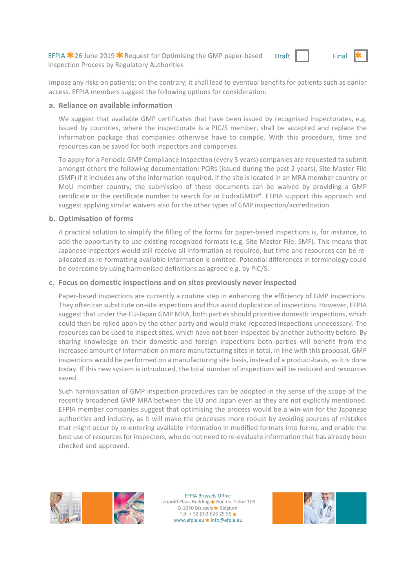EFPIA  $*$  26 June 2019  $*$  Request for Optimising the GMP paper-based Inspection Process by Regulatory Authorities



impose any risks on patients; on the contrary, it shall lead to eventual benefits for patients such as earlier access. EFPIA members suggest the following options for consideration:

#### **a. Reliance on available information**

We suggest that available GMP certificates that have been issued by recognised inspectorates, e.g. issued by countries, where the inspectorate is a PIC/S member, shall be accepted and replace the information package that companies otherwise have to compile. With this procedure, time and resources can be saved for both inspectors and companies.

To apply for a Periodic GMP Compliance Inspection (every 5 years) companies are requested to submit amongst others the following documentation: PQRs (issued during the past 2 years), Site Master File (SMF) if it includes any of the information required. If the site is located in an MRA member country or MoU member country, the submission of these documents can be waived by providing a GMP certificate or the certificate number to search for in EudraGMDP<sup>4</sup>. EFPIA support this approach and suggest applying similar waivers also for the other types of GMP inspection/accreditation.

### **b. Optimisation of forms**

A practical solution to simplify the filling of the forms for paper-based inspections is, for instance, to add the opportunity to use existing recognized formats (e.g. Site Master File; SMF). This means that Japanese inspectors would still receive all information as required, but time and resources can be re‐ allocated as re‐formatting available information is omitted. Potential differences in terminology could be overcome by using harmonised definitions as agreed e.g. by PIC/S.

### **c. Focus on domestic inspections and on sites previously never inspected**

Paper-based inspections are currently a routine step in enhancing the efficiency of GMP inspections. They often can substitute on‐site inspections and thus avoid duplication of inspections. However, EFPIA suggest that under the EU-Japan GMP MRA, both parties should prioritise domestic inspections, which could then be relied upon by the other party and would make repeated inspections unnecessary. The resources can be used to inspect sites, which have not been inspected by another authority before. By sharing knowledge on their domestic and foreign inspections both parties will benefit from the increased amount of information on more manufacturing sites in total. In line with this proposal, GMP inspections would be performed on a manufacturing site basis, instead of a product-basis, as it is done today. If this new system is introduced, the total number of inspections will be reduced and resources saved.

Such harmonisation of GMP inspection procedures can be adopted in the sense of the scope of the recently broadened GMP MRA between the EU and Japan even as they are not explicitly mentioned. EFPIA member companies suggest that optimising the process would be a win-win for the Japanese authorities and industry, as it will make the processes more robust by avoiding sources of mistakes that might occur by re‐entering available information in modified formats into forms, and enable the best use of resources for inspectors, who do not need to re-evaluate information that has already been checked and approved.



EFPIA Brussels Office Leopold Plaza Building \* Rue du Trône 108 B-1050 Brussels **\*** Belgium Tel:  $+32(0)26262555$ \* www.efpia.eu \* info@efpia.eu